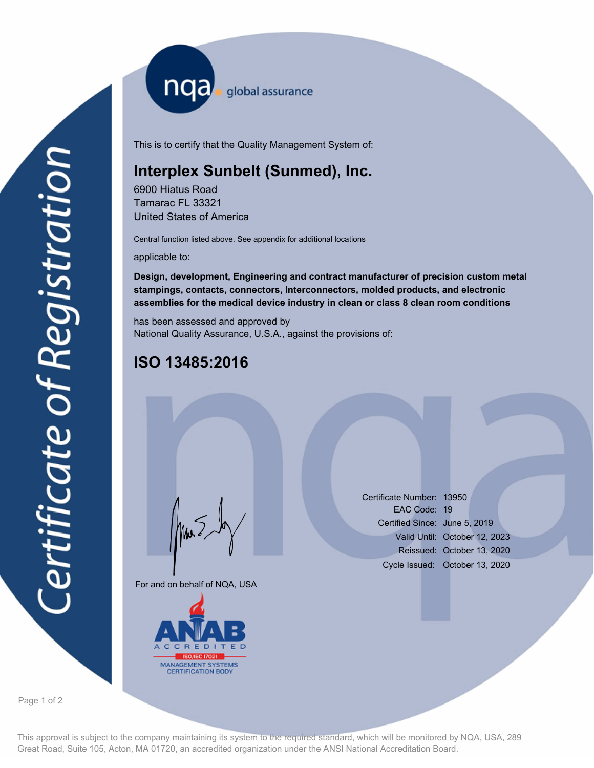nqa <sub>global assurance</sub>

This is to certify that the Quality Management System of:

## **Interplex Sunbelt (Sunmed), Inc.**

6900 Hiatus Road Tamarac FL 33321 United States of America

Central function listed above. See appendix for additional locations

applicable to:

**Design, development, Engineering and contract manufacturer of precision custom metal stampings, contacts, connectors, Interconnectors, molded products, and electronic assemblies for the medical device industry in clean or class 8 clean room conditions**

has been assessed and approved by National Quality Assurance, U.S.A., against the provisions of:

## **ISO 13485:2016**

For and on behalf of NQA, USA

Mus



Certificate Number: 13950 EAC Code: 19 Certified Since: June 5, 2019 Valid Until: October 12, 2023 Reissued: October 13, 2020 Cycle Issued: October 13, 2020

Page 1 of 2

This approval is subject to the company maintaining its system to the required standard, which will be monitored by NQA, USA, 289 Great Road, Suite 105, Acton, MA 01720, an accredited organization under the ANSI National Accreditation Board.